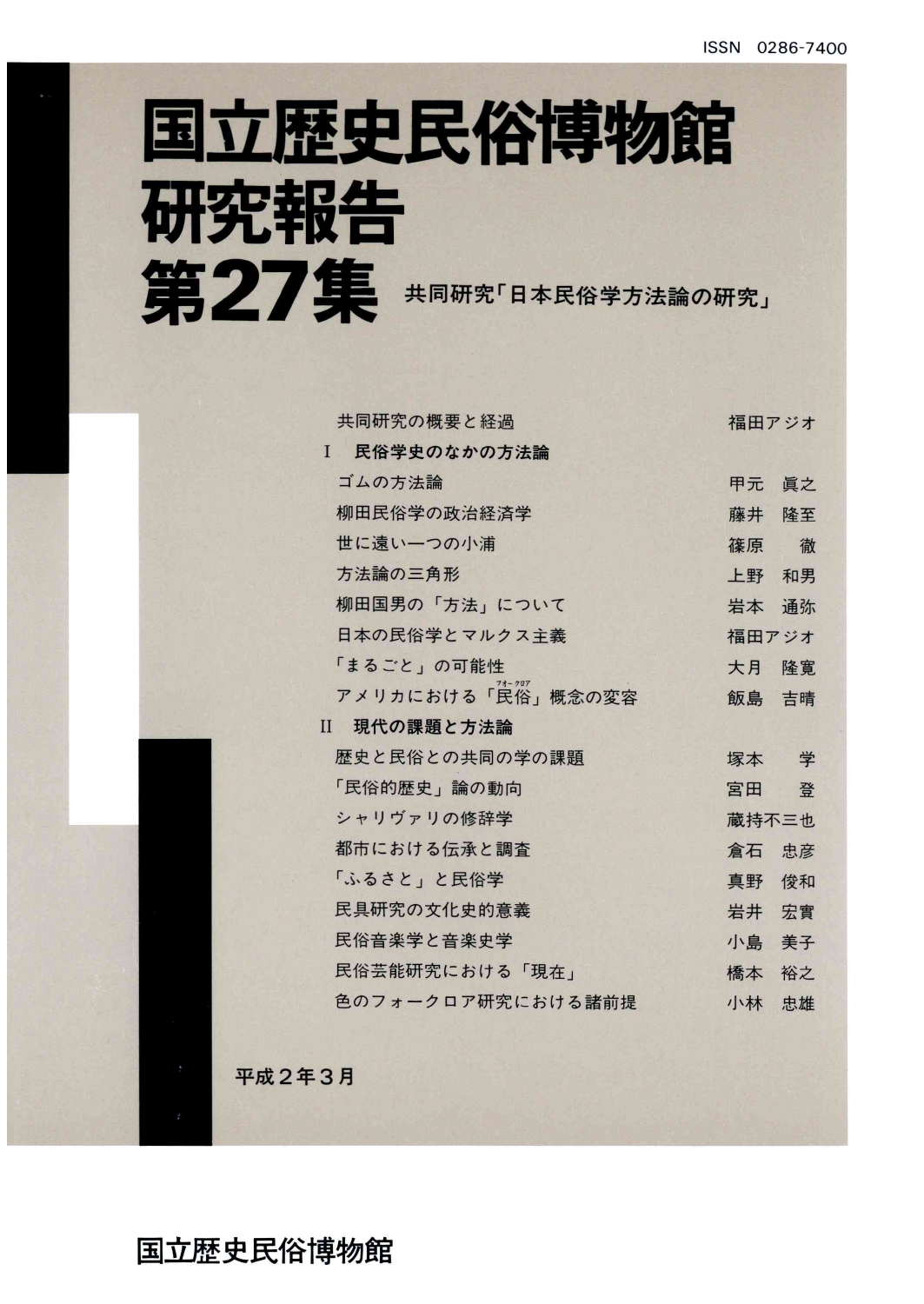# 国立歴史民俗博物館 研究報告 第27集 共同研究「日本民俗学方法論の研究」

| 共同研究の概要と経過                  | 福田アジオ |    |
|-----------------------------|-------|----|
| 民俗学史のなかの方法論<br>$\mathbf{I}$ |       |    |
| ゴムの方法論                      | 甲元    | 眞之 |
| 柳田民俗学の政治経済学                 | 藤井    | 降至 |
| 世に遠い一つの小浦                   | 篠原    | 徹  |
| 方法論の三角形                     | 上野    | 和男 |
| 柳田国男の「方法」について               | 岩本    | 诵弥 |
| 日本の民俗学とマルクス主義               | 福田アジオ |    |
| 「まるごと」の可能性                  | 大月    | 降實 |
| アメリカにおける「民俗」概念の変容           | 飯島 吉晴 |    |
| 現代の課題と方法論<br>$\mathbf{H}$   |       |    |
| 歴史と民俗との共同の学の課題              | 塚本 学  |    |
| 「民俗的歴史」論の動向                 | 宮田    | 登  |
| シャリヴァリの修辞学                  | 蔵持不三也 |    |
| 都市における伝承と調査                 | 倉石 忠彦 |    |
| 「ふるさと」と民俗学                  | 真野    | 俊和 |
| 民具研究の文化史的意義                 | 岩井    | 宏實 |
| 民俗音楽学と音楽史学                  | 小島    | 美子 |
| 民俗芸能研究における「現在」              | 橋本    | 裕之 |
| 色のフォークロア研究における諸前提           | 小林    | 忠雄 |
|                             |       |    |

平成2年3月

国立歴史民俗博物館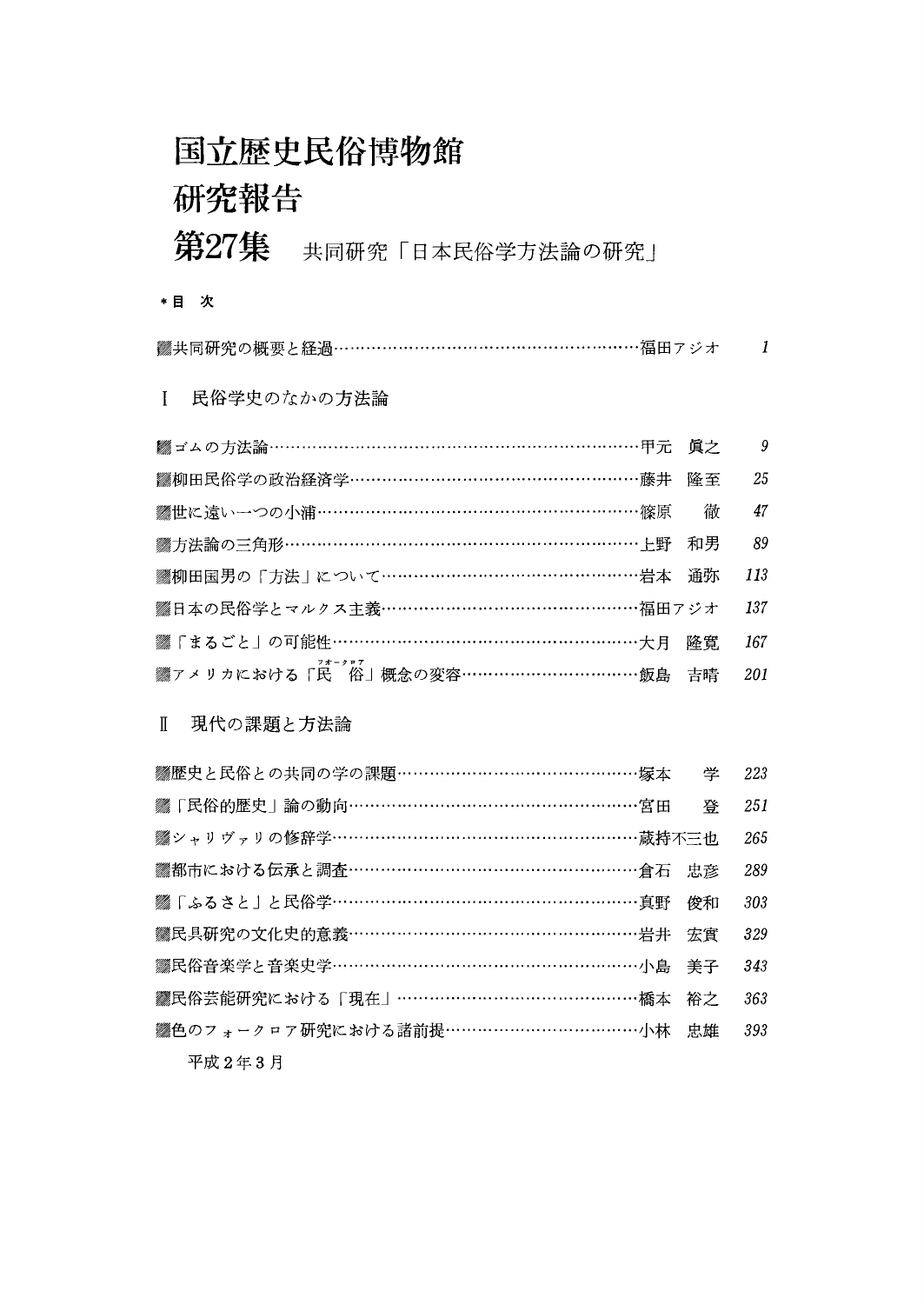### 国立歴史民俗博物館 研究報告

### 第27集 共同研究「日本民俗学方法論の研究」

\*目 次

| ▓共同研究の概要と経過………………………………………………福田アジオ |  |
|------------------------------------|--|
|                                    |  |

1 民俗学史のなかの方法論

| ▓ ゴムの方法論………………………………………………………………甲元 眞之   | 9   |
|-----------------------------------------|-----|
| ▓柳田民俗学の政治経済学……………………………………………藤井 隆至      | 25  |
| ▒世に遠い一つの小浦…………………………………………………………篠原 高    | 47  |
| ▒方法論の三角形……………………………………………………………上野 和男    | 89  |
| ▒柳田国男の「方法   について…………………………………………岩本 通弥   | 113 |
| ▒日本の民俗学とマルクス主義………………………………………福田アジオ      | 137 |
| ▓「まるごと」の可能性…………………………………………………大月 隆寛     | 167 |
| ▒<br>ァメリカにおける「民 俗」概念の変容……………………………飯島 吉晴 | 201 |

#### Ⅱ 現代の課題と方法論

| ▓柳田民俗学の政治経済学……………………………………………藤井           | 降至 | 25  |
|-------------------------------------------|----|-----|
| ▓世に遠い一つの小浦………………………………………………………篠原         | 徹  | 47  |
| ▓方法論の三角形………………………………………………………………上野        | 和男 | 89  |
| ▒柳田国男の「方法」について…………………………………………岩本          | 通弥 | 113 |
| ▒日本の民俗学とマルクス主義………………………………………福田アジオ        |    | 137 |
| ▓「まるごと」の可能性……………………………………………………大月         | 降實 | 167 |
| <i>▓</i> ァメリカにおける「民 ̄俗」概念の変容……………………………飯島 | 吉晴 | 201 |
| 現代の課題と方法論<br>T                            |    |     |
|                                           | 学  | 223 |
| ▒「民俗的歴史」論の動向……………………………………………宮田           | 登  | 251 |
| ▓シャリヴァリの修辞学………………………………………………蔵持不三也        |    | 265 |
| ▒都市における伝承と調査…………………………………………………倉石         | 忠彦 | 289 |
| ▒ 「ふるさと」と民俗学………………………………………………真野          | 俊和 | 303 |
| ▓民具研究の文化史的意義……………………………………………岩井           | 宏實 | 329 |
| ▓民俗音楽学と音楽史学………………………………………………小島           | 美子 | 343 |
| <b>▓民俗芸能研究における「現在」……………………………………橘本</b>    | 裕之 | 363 |
| ▓色のフォークロア研究における諸前提………………………………小林          | 忠雄 | 393 |
| 平成2年3月                                    |    |     |
|                                           |    |     |
|                                           |    |     |
|                                           |    |     |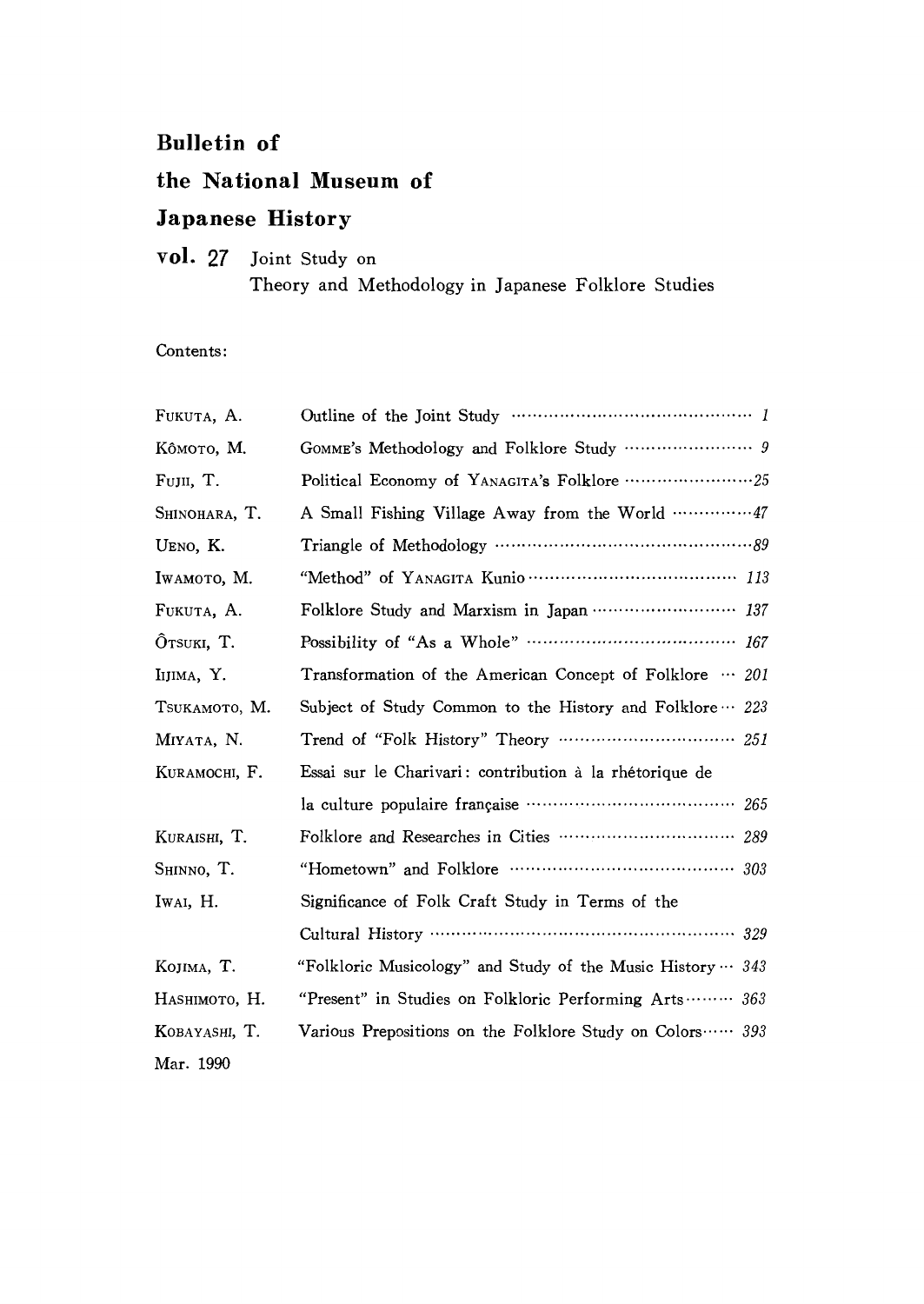#### Bu11etin of

### the National Museum of

### Japanese History

#### vol. 27 Joint Study on Theory and Methodology in Japanese Folklore Studies

Contents:

| FUKUTA, A.    |                                                                    |
|---------------|--------------------------------------------------------------------|
| Ко̂мото, М.   |                                                                    |
| FUJII, T.     |                                                                    |
| Shinohara, T. | A Small Fishing Village Away from the World  47                    |
| UENO, K.      |                                                                    |
| IWAMOTO, M.   |                                                                    |
| FUKUTA, A.    | Folklore Study and Marxism in Japan  137                           |
| OTSUKI, T.    | Possibility of "As a Whole" ……………………………… 167                       |
| IIJIMA, Y.    | Transformation of the American Concept of Folklore $\cdots$ 201    |
| TSUKAMOTO, M. | Subject of Study Common to the History and Folklore $\cdots$ 223   |
| MIYATA, N.    |                                                                    |
| KURAMOCHI, F. | Essai sur le Charivari: contribution à la rhétorique de            |
|               |                                                                    |
| KURAISHI, T.  |                                                                    |
| SHINNO, T.    |                                                                    |
| IWAI, H.      | Significance of Folk Craft Study in Terms of the                   |
|               |                                                                    |
| KOJIMA, T.    | "Folkloric Musicology" and Study of the Music History $\cdots$ 343 |
| HASHIMOTO, H. | "Present" in Studies on Folkloric Performing Arts 363              |
| KOBAYASHI, T. | Various Prepositions on the Folklore Study on Colors 393           |
| Mar. 1990     |                                                                    |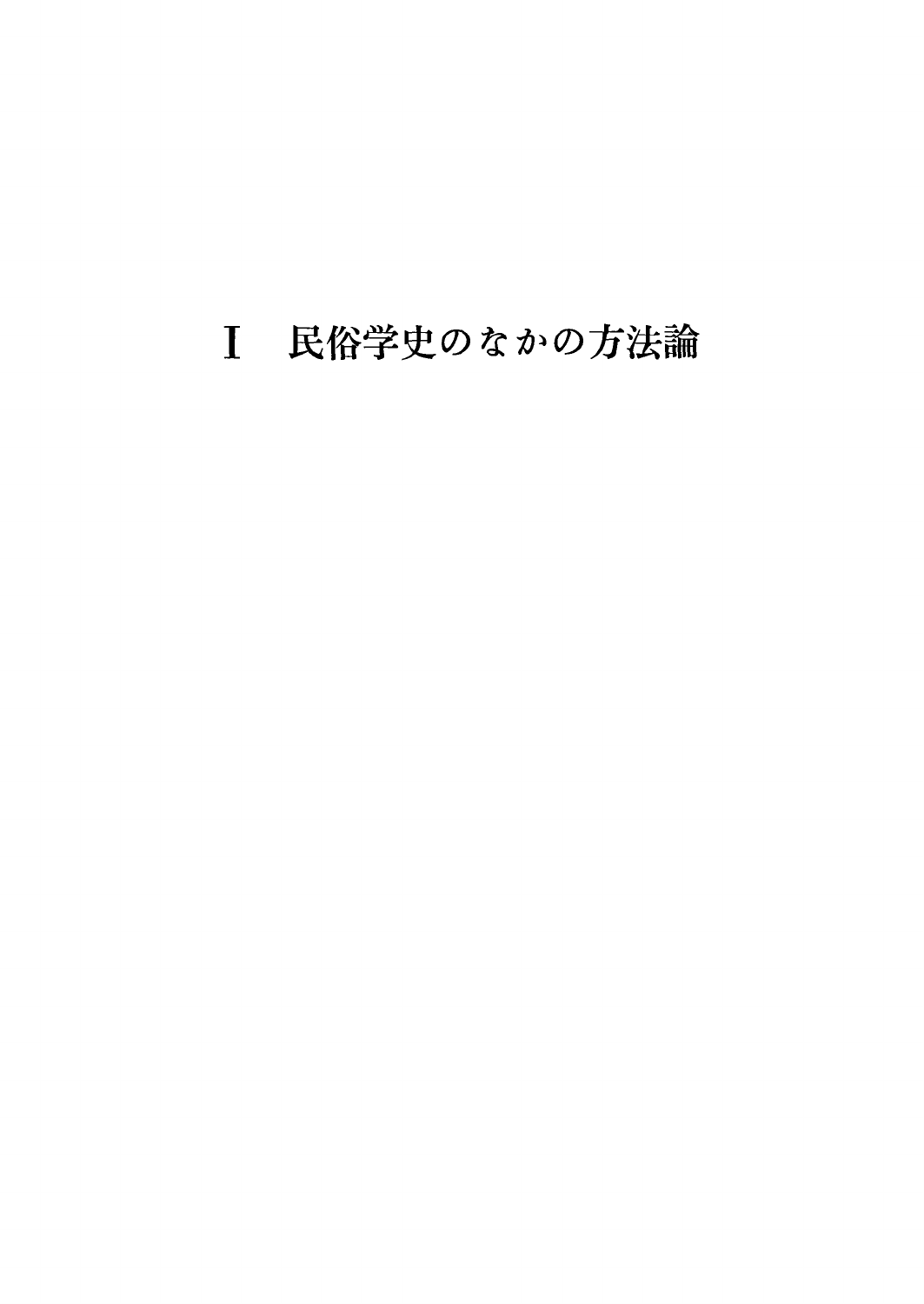### 民俗学史のなかの方法論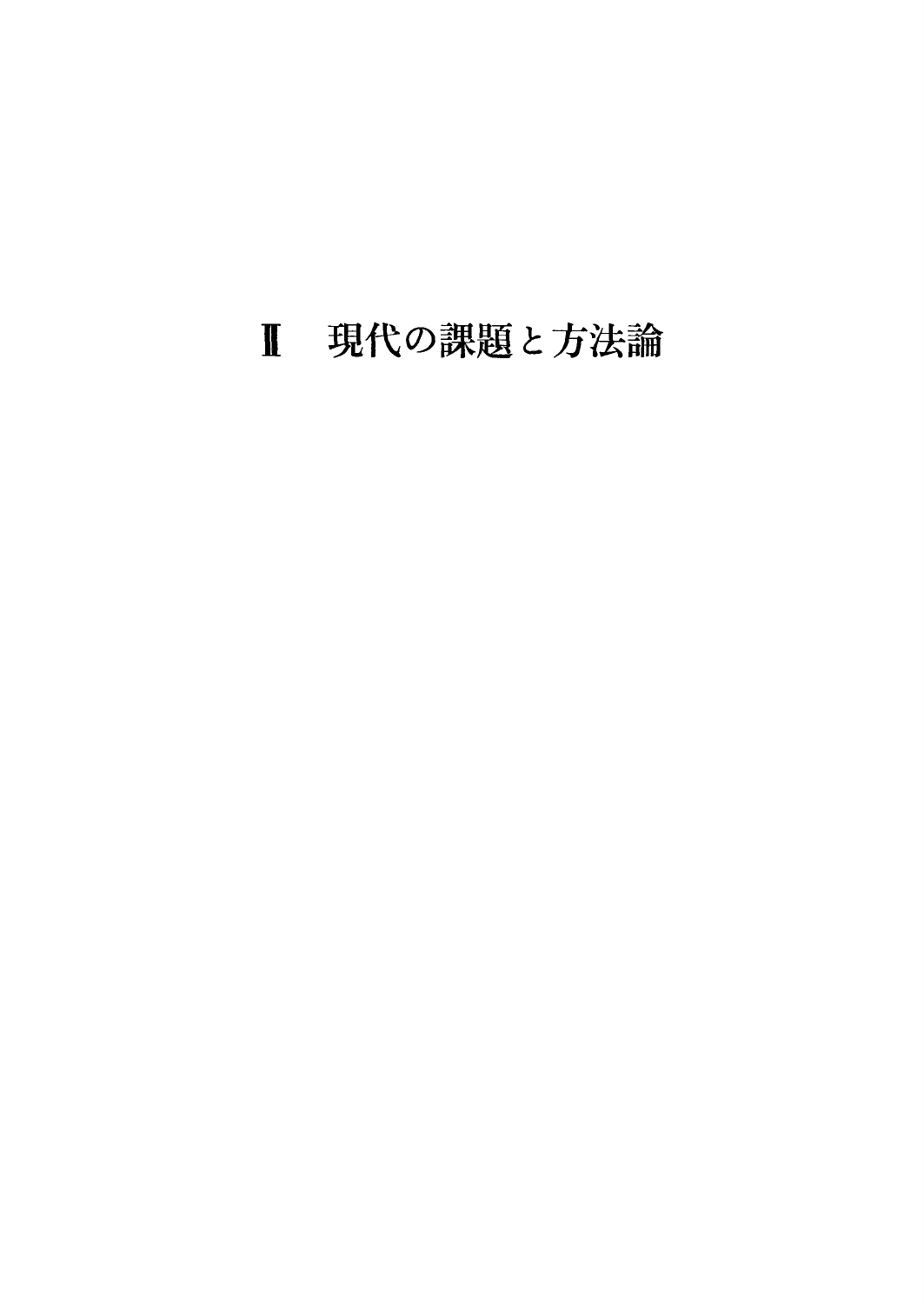## 現代の課題と方法論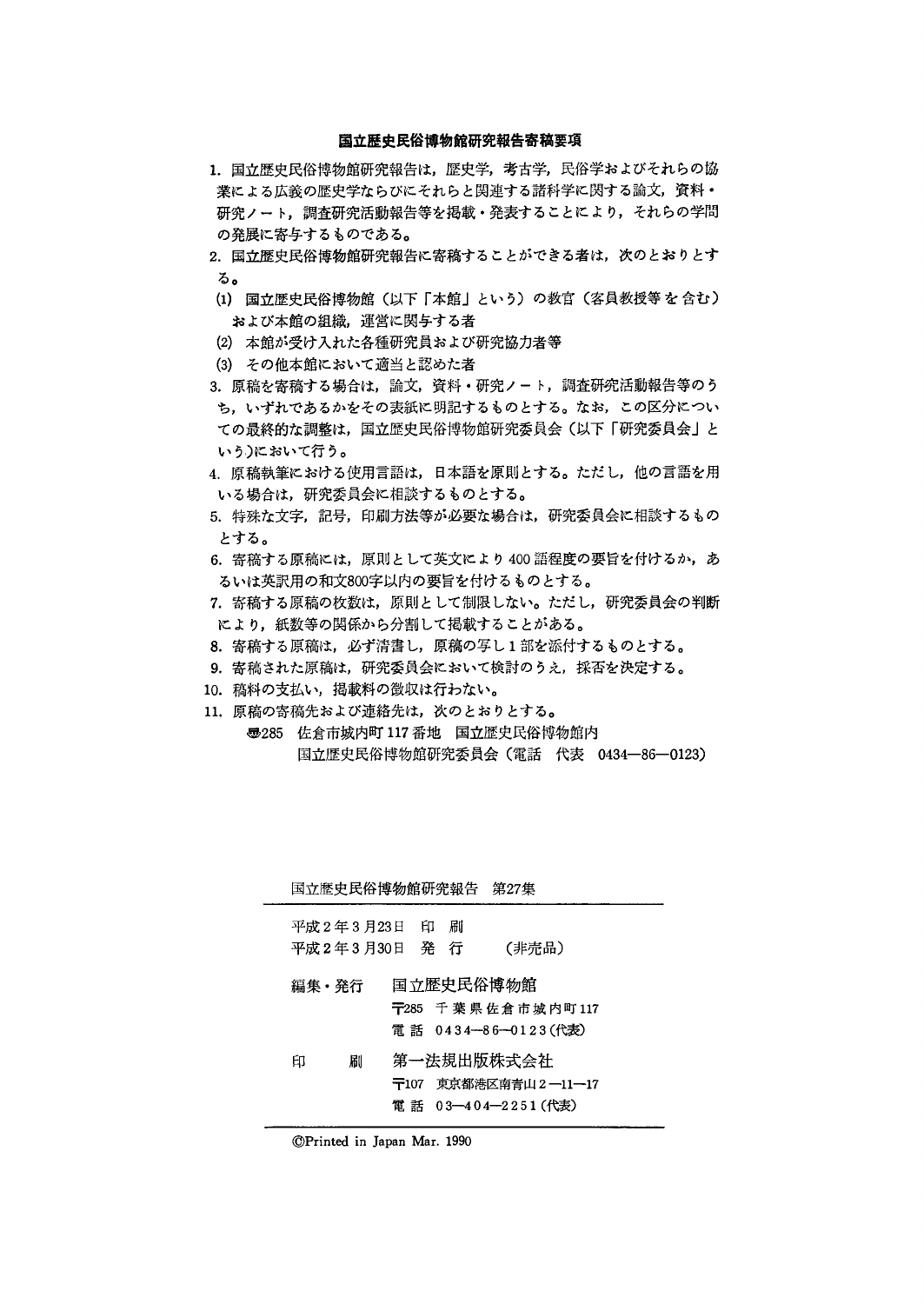#### 国立歴史民俗博物館研究報告寄稿要項

- 1. 国立歴史民俗博物館研究報告は、歴史学,考古学,民俗学およびそれらの協 業による広義の歴史学ならびにそれらと関連する諸科学に関する論文,資料・ 研究ノート,調査研究活動報告等を掲載・発表することにより,それらの学問 の発展に寄与するものである。
- 2. 国立歴史民俗博物館研究報告に寄稿することができる者は、次のとおりとす る。
- (1)国立歴史民俗博物館(以下「本館」という)の教官(客員教授等を含む) および本館の組織,運営に関与する者
- (2)本館が受け入れた各種研究員および研究協力者等
- (3)その他本館において適当と認めた者
- 3.原稿を寄稿する場合は,論文,資料・研究ノート,調査研究活動報告等のう ち,いずれであるかをその表紙に明記するものとする。なお,この区分につい ての最終的な調整は,国立歴史民俗博物館研究委員会(以下「研究委員会」と いう)において行う。
- 4.原稿執筆における使用言語は,日本語を原則とする。ただし,他の言語を用 いる場合は,研究委員会に相談するものとする。
- 5.特殊な文字,記号,印刷方法等が必要な場合は,研究委員会に相談するもの とする。
- 6. 寄稿する原稿には、原則として英文により400語程度の要旨を付けるか、あ るいは英訳用の和文800字以内の要旨を付けるものとする。
- 7.寄稿する原稿の枚数は,原則として制限しない。ただし,研究委員会の判断 により,紙数等の関係から分割して掲載することがある。
- 8.寄稿する原稿は,必ず清書し,原稿の写し1部を添付するものとする。
- 9. 寄稿された原稿は、研究委員会において検討のうえ、採否を決定する。
- 10.稿料の支払い,掲載料の徴収は行わない。
- 11. 原稿の寄稿先および連絡先は、次のとおりとする。
	- 轟285 佐倉市城内町117番地 国立歴史民俗博物館内 国立歴史民俗博物館研究委員会(電話 代表 0434-86-0123)

|   | 国立歴史民俗博物館研究報告              |    |          | 第27集                                                      |
|---|----------------------------|----|----------|-----------------------------------------------------------|
|   | 平成 2 年 3 月23日<br>平成2年3月30日 | 一印 | 刷<br>発 行 | (非売品)                                                     |
|   | 編集・発行                      |    |          | 国立歴史民俗博物館<br>〒285 千葉県佐倉市城内町117<br>電話 0434-86-0123(代表)     |
| 印 | 刷                          |    |          | 第一法規出版株式会社<br>〒107 東京都港区南青山2―11―17<br>電 話 03―404―2251(代表) |

⑥Printed in Japan Mar 1990